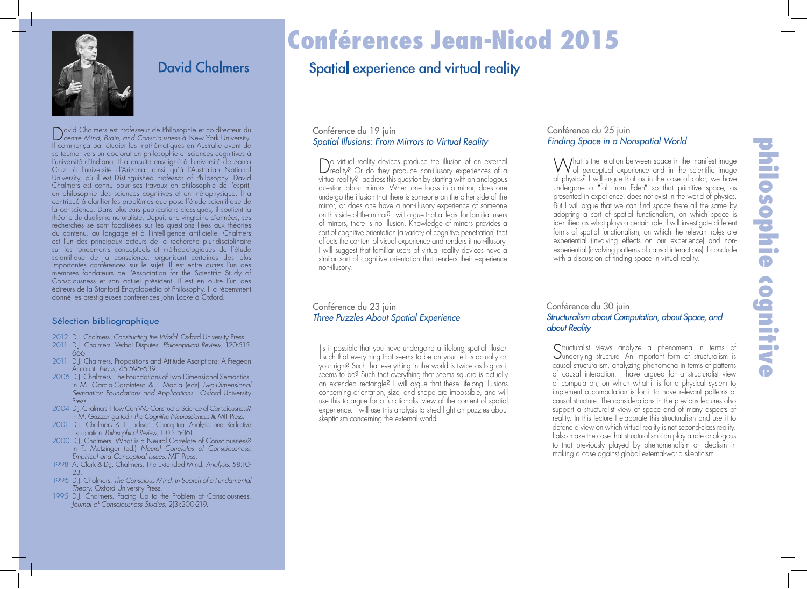

# David Chalmers

David Chalmers est Professeur de Philosophie et co-directeur du centre *Mind*, *Brain*, *and Consciousness* à New York University. Il commença par étudier les mathématiques en Australie avant de se tourner vers un doctorat en philosophie et sciences cognitives à l'université d'Indiana. Il a ensuite enseigné à l'université de Santa Cruz, à l'université d'Arizona, ainsi qu'à l'Australian National University, où il est Distinguished Professor of Philosophy. David Chalmers est connu pour ses travaux en philosophie de l'esprit, en philosophie des sciences cognitives et en métaphysique. Il a contribué à clarifier les problèmes que pose l'étude scientifique de la conscience. Dans plusieurs publications classiques, il soutient la théorie du dualisme naturaliste. Depuis une vingtaine d'années, ses recherches se sont focalisées sur les questions liées aux théories du contenu, au langage et à l'intelligence artificielle. Chalmers est l'un des principaux acteurs de la recherche pluridisciplinaire sur les fondements conceptuels et méthodologiques de l'étude scientifique de la conscience, organisant certaines des plus importantes conférences sur le sujet. Il est entre autres l'un des membres fondateurs de l'Association for the Scientific Study of Consciousness et son actuel président. Il est en outre l'un des éditeurs de la Stanford Encyclopedia of Philosophy. Il a récemment donné les prestigieuses conférences John Locke à Oxford.

#### Sélection bibliographique

- 2012 D.J. Chalmers. *Constructing the World.* Oxford University Press.
- 2011 D.J. Chalmers. Verbal Disputes. *Philosophical Review,* 120:515- 666.
- 2011 D.J. Chalmers. Propositions and Attitude Ascriptions: A Fregean Account. *Nous,* 45:595-639.
- 2006 D.J. Chalmers. The Foundations of Two-Dimensional Semantics. In M. Garcia-Carpintero & J. Macia (eds) *Two-Dimensional Semantics: Foundations and Applications*. Oxford University Press.
- 2004 D.J. Chalmers. How Can We Construct a Science of Consciousness? In M. Gazzaniga (ed.) *The Cognitive Neurosciences III*. MIT Press.
- 2001 D.J. Chalmers & F. Jackson. Conceptual Analysis and Reductive Explanation. *Philosophical Review*, 110:315-361.
- 2000 D.J. Chalmers. What is a Neural Correlate of Consciousness? In T. Metzinger (ed.) *Neural Correlates of Consciousness: Empirical and Conceptual Issues*. MIT Press.
- 1998 A. Clark & D.J. Chalmers. The Extended Mind. *Analysis*, 58:10- 23.
- 1996 D.J. Chalmers. *The Conscious Mind: In Search of a Fundamental Theory*. Oxford University Press.
- 1995 D.J. Chalmers. Facing Up to the Problem of Consciousness. *Journal of Consciousness Studies*, 2(3):200-219.

# Conférences Jean-Nicod 2015

# Spatial experience and virtual reality

## Conférence du 19 juin *Spatial Illusions: From Mirrors to Virtual Reality*

Do virtual reality devices produce the illusion of an external reality? Or do they produce non-illusory experiences of a virtual reality? I address this question by starting with an analogous question about mirrors. When one looks in a mirror, does one undergo the illusion that there is someone on the other side of the mirror, or does one have a non-illusory experience of someone on this side of the mirror? I will argue that at least for familiar users of mirrors, there is no illusion. Knowledge of mirrors provides a sort of cognitive orientation (a variety of cognitive penetration) that affects the content of visual experience and renders it non-illusory. I will suggest that familiar users of virtual reality devices have a similar sort of cognitive orientation that renders their experience non-illusory.

## Conférence du 25 juin *Finding Space in a Nonspatial World*

What is the relation between space in the manifest image<br>
of perceptual experience and in the scientific image of physics? I will argue that as in the case of color, we have undergone a "fall from Eden" so that primitive space, as presented in experience, does not exist in the world of physics. But I will argue that we can find space there all the same by adopting a sort of spatial functionalism, on which space is identified as what plays a certain role. I will investigate different forms of spatial functionalism, on which the relevant roles are experiential (involving effects on our experience) and nonexperiential (involving patterns of causal interactions). I conclude with a discussion of finding space in virtual reality.

#### Conférence du 23 juin *Three Puzzles About Spatial Experience*

Is it possible that you have undergone a litelong spatial illusion<br>such that everything that seems to be on your left is actually on s it possible that you have undergone a lifelong spatial illusion your right? Such that everything in the world is twice as big as it seems to be? Such that everything that seems square is actually an extended rectangle? I will argue that these lifelong illusions concerning orientation, size, and shape are impossible, and will use this to argue for a functionalist view of the content of spatial experience. I will use this analysis to shed light on puzzles about skepticism concerning the external world.

## Conférence du 30 juin *Structuralism about Computation, about Space, and about Reality*

Structuralist views analyze a phenomena in terms of underlying structure. An important form of structuralism is causal structuralism, analyzing phenomena in terms of patterns of causal interaction. I have argued for a structuralist view of computation, on which what it is for a physical system to implement a computation is for it to have relevant patterns of causal structure. The considerations in the previous lectures also support a structuralist view of space and of many aspects of reality. In this lecture I elaborate this structuralism and use it to defend a view on which virtual reality is not second-class reality. I also make the case that structuralism can play a role analogous to that previously played by phenomenalism or idealism in making a case against global external-world skepticism.